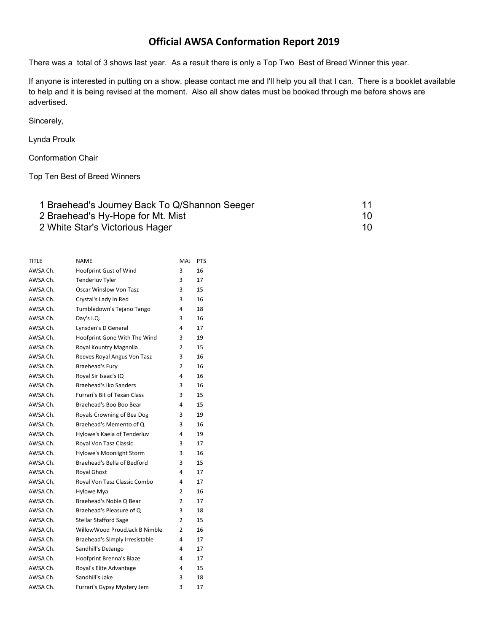## Official AWSA Conformation Report 2019

There was a total of 3 shows last year. As a result there is only a Top Two Best of Breed Winner this year.

If anyone is interested in putting on a show, please contact me and I'll help you all that I can. There is a booklet available to help and it is being revised at the moment. Also all show dates must be booked through me before shows are advertised.

Sincerely,

## Lynda Proulx

Conformation Chair

Top Ten Best of Breed Winners

| 1 Braehead's Journey Back To Q/Shannon Seeger |     |
|-----------------------------------------------|-----|
| 2 Braehead's Hy-Hope for Mt. Mist             | 10. |
| 2 White Star's Victorious Hager               | 10. |

| <b>TITLE</b> | <b>NAME</b>                         | <b>MAJ</b>     | <b>PTS</b> |
|--------------|-------------------------------------|----------------|------------|
| AWSA Ch.     | Hoofprint Gust of Wind              | 3              | 16         |
| AWSA Ch.     | <b>Tenderluv Tyler</b>              | 3              | 17         |
| AWSA Ch.     | <b>Oscar Winslow Von Tasz</b>       | 3              | 15         |
| AWSA Ch.     | Crystal's Lady In Red               | 3              | 16         |
| AWSA Ch.     | Tumbledown's Tejano Tango           | 4              | 18         |
| AWSA Ch.     | Day's I.Q.                          | 3              | 16         |
| AWSA Ch.     | Lynsden's D General                 | 4              | 17         |
| AWSA Ch.     | Hoofprint Gone With The Wind        | 3              | 19         |
| AWSA Ch.     | Royal Kountry Magnolia              | 2              | 15         |
| AWSA Ch.     | Reeves Royal Angus Von Tasz         | 3              | 16         |
| AWSA Ch.     | Braehead's Fury                     | 2              | 16         |
| AWSA Ch.     | Royal Sir Isaac's IQ                | 4              | 16         |
| AWSA Ch.     | Braehead's Iko Sanders              | 3              | 16         |
| AWSA Ch.     | <b>Furrari's Bit of Texan Class</b> | 3              | 15         |
| AWSA Ch.     | Braehead's Boo Boo Bear             | 4              | 15         |
| AWSA Ch.     | Royals Crowning of Bea Dog          | 3              | 19         |
| AWSA Ch.     | Braehead's Memento of Q             | 3              | 16         |
| AWSA Ch.     | Hylowe's Kaela of Tenderluv         | 4              | 19         |
| AWSA Ch.     | Royal Von Tasz Classic              | 3              | 17         |
| AWSA Ch.     | Hylowe's Moonlight Storm            | 3              | 16         |
| AWSA Ch.     | Braehead's Bella of Bedford         | 3              | 15         |
| AWSA Ch.     | <b>Royal Ghost</b>                  | 4              | 17         |
| AWSA Ch.     | Royal Von Tasz Classic Combo        | 4              | 17         |
| AWSA Ch.     | Hylowe Mya                          | 2              | 16         |
| AWSA Ch.     | Braehead's Noble Q Bear             | 2              | 17         |
| AWSA Ch.     | Braehead's Pleasure of Q            | 3              | 18         |
| AWSA Ch.     | <b>Stellar Stafford Sage</b>        | 2              | 15         |
| AWSA Ch.     | WillowWood ProudJack B Nimble       | $\overline{2}$ | 16         |
| AWSA Ch.     | Braehead's Simply Irresistable      | 4              | 17         |
| AWSA Ch.     | Sandhill's DeJango                  | 4              | 17         |
| AWSA Ch.     | Hoofprint Brenna's Blaze            | 4              | 17         |
| AWSA Ch.     | Royal's Elite Advantage             | 4              | 15         |
| AWSA Ch.     | Sandhill's Jake                     | 3              | 18         |
| AWSA Ch.     | Furrari's Gypsy Mystery Jem         | 3              | 17         |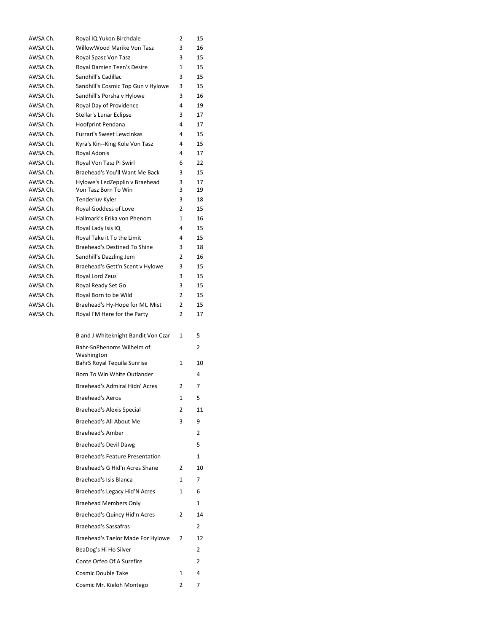| AWSA Ch.             | Royal IQ Yukon Birchdale                               | 2      | 15       |
|----------------------|--------------------------------------------------------|--------|----------|
| AWSA Ch.             | WillowWood Marike Von Tasz                             | 3      | 16       |
| AWSA Ch.             | Royal Spasz Von Tasz                                   | 3      | 15       |
| AWSA Ch.             | Royal Damien Teen's Desire                             | 1      | 15       |
| AWSA Ch.             | Sandhill's Cadillac                                    | 3      | 15       |
| AWSA Ch.             | Sandhill's Cosmic Top Gun v Hylowe                     | 3      | 15       |
| AWSA Ch.             | Sandhill's Porsha v Hylowe                             | 3      | 16       |
| AWSA Ch.             | Royal Day of Providence                                | 4      | 19       |
| AWSA Ch.             | Stellar's Lunar Eclipse                                | 3      | 17       |
| AWSA Ch.             | Hoofprint Pendana                                      | 4      | 17       |
| AWSA Ch.             | Furrari's Sweet Lewcinkas                              | 4      | 15       |
| AWSA Ch.             | Kyra's Kin--King Kole Von Tasz                         | 4      | 15       |
| AWSA Ch.             | Royal Adonis                                           | 4      | 17       |
| AWSA Ch.             | Royal Von Tasz Pi Swirl                                | 6      | 22       |
| AWSA Ch.             | Braehead's You'll Want Me Back                         | 3      | 15<br>17 |
| AWSA Ch.<br>AWSA Ch. | Hylowe's LedZepplin v Braehead<br>Von Tasz Born To Win | 3<br>3 | 19       |
| AWSA Ch.             | Tenderluv Kyler                                        | 3      | 18       |
| AWSA Ch.             | Royal Goddess of Love                                  | 2      | 15       |
| AWSA Ch.             | Hallmark's Erika von Phenom                            | 1      | 16       |
| AWSA Ch.             | Royal Lady Isis IQ                                     | 4      | 15       |
| AWSA Ch.             | Royal Take it To the Limit                             | 4      | 15       |
| AWSA Ch.             | <b>Braehead's Destined To Shine</b>                    | 3      | 18       |
| AWSA Ch.             | Sandhill's Dazzling Jem                                | 2      | 16       |
| AWSA Ch.             | Braehead's Gett'n Scent v Hylowe                       | 3      | 15       |
| AWSA Ch.             | Royal Lord Zeus                                        | 3      | 15       |
| AWSA Ch.             | Royal Ready Set Go                                     | 3      | 15       |
| AWSA Ch.             | Royal Born to be Wild                                  | 2      | 15       |
| AWSA Ch.             | Braehead's Hy-Hope for Mt. Mist                        | 2      | 15       |
| AWSA Ch.             | Royal I'M Here for the Party                           | 2      | 17       |
|                      |                                                        |        |          |
|                      | B and J Whiteknight Bandit Von Czar                    | 1      | 5        |
|                      | Bahr-SnPhenoms Wilhelm of                              |        | 2        |
|                      | Washington                                             |        |          |
|                      | BahrS Royal Tequila Sunrise                            | 1      | 10       |
|                      | Born To Win White Outlander                            |        | 4        |
|                      | Braehead's Admiral Hidn' Acres                         | 2      | 7        |
|                      | <b>Braehead's Aeros</b>                                | 1      | 5        |
|                      | <b>Braehead's Alexis Special</b>                       | 2      | 11       |
|                      |                                                        |        |          |
|                      | Braehead's All About Me                                | 3      | 9        |
|                      | <b>Braehead's Amber</b>                                |        | 2        |
|                      | Braehead's Devil Dawg                                  |        | 5        |
|                      | <b>Braehead's Feature Presentation</b>                 |        | 1        |
|                      | Braehead's G Hid'n Acres Shane                         | 2      | 10       |
|                      | Braehead's Isis Blanca                                 | 1      | 7        |
|                      |                                                        |        |          |
|                      | Braehead's Legacy Hid'N Acres                          | 1      | 6        |
|                      | <b>Braehead Members Only</b>                           |        | 1        |
|                      | Braehead's Quincy Hid'n Acres                          | 2      | 14       |
|                      | <b>Braehead's Sassafras</b>                            |        | 2        |
|                      | Braehead's Taelor Made For Hylowe                      | 2      | 12       |
|                      |                                                        |        |          |
|                      | BeaDog's Hi Ho Silver                                  |        | 2        |
|                      | Conte Orfeo Of A Surefire                              |        | 2        |
|                      | Cosmic Double Take                                     | 1      | 4        |
|                      | Cosmic Mr. Kieloh Montego                              | 2      | 7        |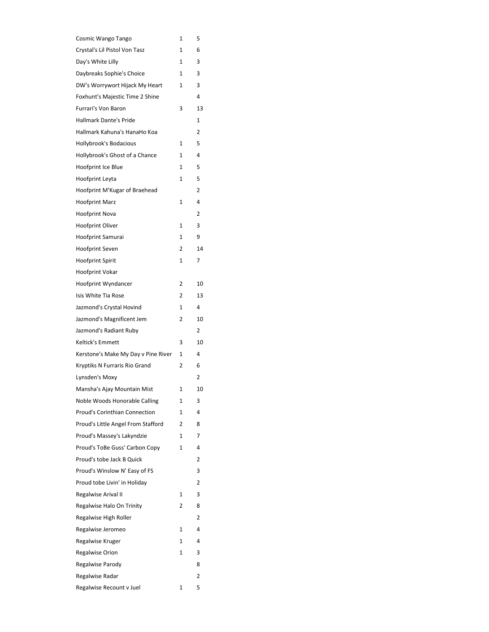| Cosmic Wango Tango                  | 1            | 5              |
|-------------------------------------|--------------|----------------|
| Crystal's Lil Pistol Von Tasz       | 1            | 6              |
| Day's White Lilly                   | 1            | 3              |
| Daybreaks Sophie's Choice           | 1            | 3              |
| DW's Worrywort Hijack My Heart      | 1            | 3              |
| Foxhunt's Majestic Time 2 Shine     |              | 4              |
| <b>Furrari's Von Baron</b>          | 3            | 13             |
| <b>Hallmark Dante's Pride</b>       |              | 1              |
| Hallmark Kahuna's HanaHo Koa        |              | 2              |
| <b>Hollybrook's Bodacious</b>       | 1            | 5              |
| Hollybrook's Ghost of a Chance      | 1            | 4              |
| Hoofprint Ice Blue                  | $\mathbf{1}$ | 5              |
| Hoofprint Leyta                     | 1            | 5              |
| Hoofprint M'Kugar of Braehead       |              | 2              |
| <b>Hoofprint Marz</b>               | 1            | 4              |
| Hoofprint Nova                      |              | 2              |
| <b>Hoofprint Oliver</b>             | 1            | 3              |
| Hoofprint Samurai                   | 1            | 9              |
| <b>Hoofprint Seven</b>              | 2            | 14             |
| <b>Hoofprint Spirit</b>             | 1            | 7              |
| Hoofprint Vokar                     |              |                |
| Hoofprint Wyndancer                 | 2            | 10             |
| Isis White Tia Rose                 | 2            | 13             |
| Jazmond's Crystal Hovind            | 1            | 4              |
| Jazmond's Magnificent Jem           | 2            | 10             |
| Jazmond's Radiant Ruby              |              | $\overline{2}$ |
| Keltick's Emmett                    | 3            | 10             |
| Kerstone's Make My Day v Pine River | 1            | 4              |
| Kryptiks N Furraris Rio Grand       | 2            | 6              |
| Lynsden's Moxy                      |              | 2              |
| Mansha's Ajay Mountain Mist         | 1            | 10             |
| Noble Woods Honorable Calling       | 1            | 3              |
| Proud's Corinthian Connection       | 1            | 4              |
| Proud's Little Angel From Stafford  | 2            | 8              |
| Proud's Massey's Lakyndzie          | 1            | 7              |
| Proud's ToBe Guss' Carbon Copy      | 1            | 4              |
| Proud's tobe Jack B Quick           |              | 2              |
| Proud's Winslow N' Easy of FS       |              | 3              |
| Proud tobe Livin' in Holiday        |              | 2              |
| Regalwise Arival II                 | 1            | 3              |
| Regalwise Halo On Trinity           | 2            | 8              |
| Regalwise High Roller               |              | 2              |
| Regalwise Jeromeo                   | 1            | 4              |
| Regalwise Kruger                    | 1            | 4              |
| <b>Regalwise Orion</b>              | 1            | 3              |
| Regalwise Parody                    |              | 8              |
| Regalwise Radar                     |              | 2              |
| Regalwise Recount v Juel            | 1            | 5              |
|                                     |              |                |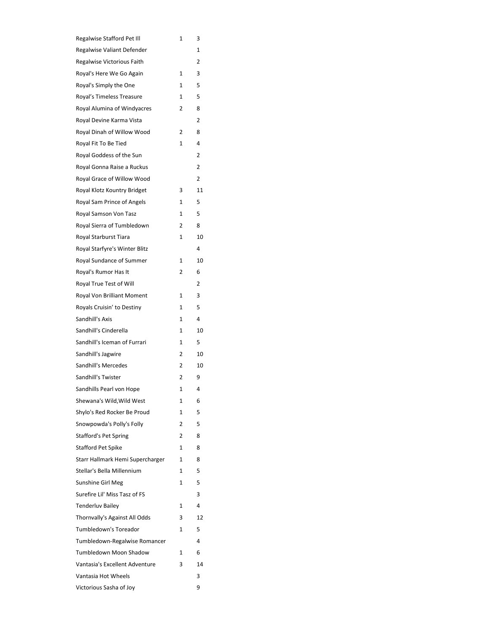| Regalwise Stafford Pet Ill       | 1 | 3  |
|----------------------------------|---|----|
| Regalwise Valiant Defender       |   | 1  |
| Regalwise Victorious Faith       |   | 2  |
| Royal's Here We Go Again         | 1 | 3  |
| Royal's Simply the One           | 1 | 5  |
| Royal's Timeless Treasure        | 1 | 5  |
| Royal Alumina of Windyacres      | 2 | 8  |
| Royal Devine Karma Vista         |   | 2  |
| Royal Dinah of Willow Wood       | 2 | 8  |
| Royal Fit To Be Tied             | 1 | 4  |
| Royal Goddess of the Sun         |   | 2  |
| Royal Gonna Raise a Ruckus       |   | 2  |
| Royal Grace of Willow Wood       |   | 2  |
| Royal Klotz Kountry Bridget      | 3 | 11 |
| Royal Sam Prince of Angels       | 1 | 5  |
| Royal Samson Von Tasz            | 1 | 5  |
| Royal Sierra of Tumbledown       | 2 | 8  |
| Royal Starburst Tiara            | 1 | 10 |
| Royal Starfyre's Winter Blitz    |   | 4  |
| Royal Sundance of Summer         | 1 | 10 |
| Royal's Rumor Has It             | 2 | 6  |
| Royal True Test of Will          |   | 2  |
| Royal Von Brilliant Moment       | 1 | 3  |
| Royals Cruisin' to Destiny       | 1 | 5  |
| Sandhill's Axis                  | 1 | 4  |
| Sandhill's Cinderella            | 1 | 10 |
| Sandhill's Iceman of Furrari     | 1 | 5  |
| Sandhill's Jagwire               | 2 | 10 |
| Sandhill's Mercedes              | 2 | 10 |
| Sandhill's Twister               | 2 | 9  |
| Sandhills Pearl von Hope         | 1 | 4  |
| Shewana's Wild, Wild West        | 1 | 6  |
| Shylo's Red Rocker Be Proud      | 1 | 5  |
| Snowpowda's Polly's Folly        | 2 | 5  |
| <b>Stafford's Pet Spring</b>     | 2 | 8  |
| <b>Stafford Pet Spike</b>        | 1 | 8  |
| Starr Hallmark Hemi Supercharger | 1 | 8  |
| Stellar's Bella Millennium       | 1 | 5  |
| Sunshine Girl Meg                | 1 | 5  |
| Surefire Lil' Miss Tasz of FS    |   | 3  |
| <b>Tenderluv Bailey</b>          | 1 | 4  |
| Thornvally's Against All Odds    | 3 | 12 |
| Tumbledown's Toreador            | 1 | 5  |
| Tumbledown-Regalwise Romancer    |   | 4  |
| Tumbledown Moon Shadow           | 1 | 6  |
| Vantasia's Excellent Adventure   | 3 | 14 |
| Vantasia Hot Wheels              |   | 3  |
| Victorious Sasha of Joy          |   | 9  |
|                                  |   |    |